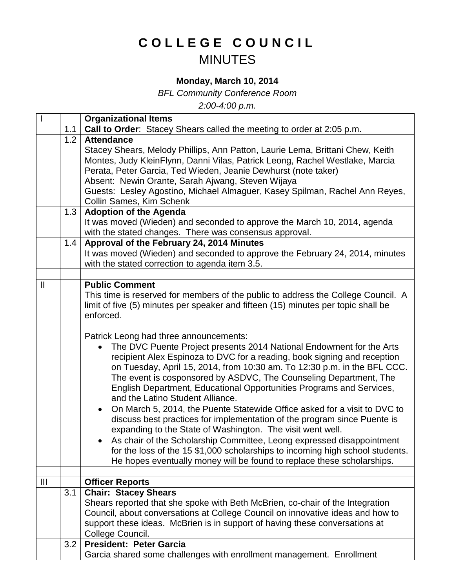## **COLLEGE COUNCIL** MINUTES

## **Monday, March 10, 2014**

*BFL Community Conference Room*

*2:00-4:00 p.m.*

|                |                   | <b>Organizational Items</b>                                                                                                                                                                                                                                                                                                                                                                                                                                                                                                                                                                                                              |
|----------------|-------------------|------------------------------------------------------------------------------------------------------------------------------------------------------------------------------------------------------------------------------------------------------------------------------------------------------------------------------------------------------------------------------------------------------------------------------------------------------------------------------------------------------------------------------------------------------------------------------------------------------------------------------------------|
|                | 1.1               | Call to Order: Stacey Shears called the meeting to order at 2:05 p.m.                                                                                                                                                                                                                                                                                                                                                                                                                                                                                                                                                                    |
|                | 1.2<br>1.3<br>1.4 | <b>Attendance</b><br>Stacey Shears, Melody Phillips, Ann Patton, Laurie Lema, Brittani Chew, Keith<br>Montes, Judy KleinFlynn, Danni Vilas, Patrick Leong, Rachel Westlake, Marcia<br>Perata, Peter Garcia, Ted Wieden, Jeanie Dewhurst (note taker)<br>Absent: Newin Orante, Sarah Ajwang, Steven Wijaya<br>Guests: Lesley Agostino, Michael Almaguer, Kasey Spilman, Rachel Ann Reyes,<br>Collin Sames, Kim Schenk<br><b>Adoption of the Agenda</b><br>It was moved (Wieden) and seconded to approve the March 10, 2014, agenda<br>with the stated changes. There was consensus approval.<br>Approval of the February 24, 2014 Minutes |
|                |                   | It was moved (Wieden) and seconded to approve the February 24, 2014, minutes<br>with the stated correction to agenda item 3.5.                                                                                                                                                                                                                                                                                                                                                                                                                                                                                                           |
|                |                   |                                                                                                                                                                                                                                                                                                                                                                                                                                                                                                                                                                                                                                          |
| $\mathbf{I}$   |                   | <b>Public Comment</b><br>This time is reserved for members of the public to address the College Council. A<br>limit of five (5) minutes per speaker and fifteen (15) minutes per topic shall be<br>enforced.<br>Patrick Leong had three announcements:<br>The DVC Puente Project presents 2014 National Endowment for the Arts<br>recipient Alex Espinoza to DVC for a reading, book signing and reception                                                                                                                                                                                                                               |
|                |                   | on Tuesday, April 15, 2014, from 10:30 am. To 12:30 p.m. in the BFL CCC.<br>The event is cosponsored by ASDVC, The Counseling Department, The<br>English Department, Educational Opportunities Programs and Services,<br>and the Latino Student Alliance.<br>On March 5, 2014, the Puente Statewide Office asked for a visit to DVC to<br>$\bullet$<br>discuss best practices for implementation of the program since Puente is<br>expanding to the State of Washington. The visit went well.                                                                                                                                            |
|                |                   | As chair of the Scholarship Committee, Leong expressed disappointment<br>for the loss of the 15 \$1,000 scholarships to incoming high school students.<br>He hopes eventually money will be found to replace these scholarships.                                                                                                                                                                                                                                                                                                                                                                                                         |
|                |                   |                                                                                                                                                                                                                                                                                                                                                                                                                                                                                                                                                                                                                                          |
| $\mathbf{III}$ |                   | <b>Officer Reports</b>                                                                                                                                                                                                                                                                                                                                                                                                                                                                                                                                                                                                                   |
|                | 3.1               | <b>Chair: Stacey Shears</b><br>Shears reported that she spoke with Beth McBrien, co-chair of the Integration<br>Council, about conversations at College Council on innovative ideas and how to<br>support these ideas. McBrien is in support of having these conversations at<br>College Council.                                                                                                                                                                                                                                                                                                                                        |
|                | 3.2               | <b>President: Peter Garcia</b><br>Garcia shared some challenges with enrollment management. Enrollment                                                                                                                                                                                                                                                                                                                                                                                                                                                                                                                                   |
|                |                   |                                                                                                                                                                                                                                                                                                                                                                                                                                                                                                                                                                                                                                          |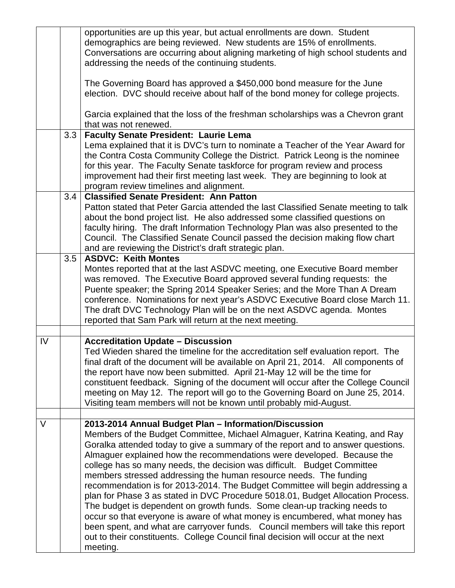|    |                  | opportunities are up this year, but actual enrollments are down. Student<br>demographics are being reviewed. New students are 15% of enrollments.<br>Conversations are occurring about aligning marketing of high school students and<br>addressing the needs of the continuing students.                                                                                                                                                                                                                                                                                                                                                                                                                                                                                                                                                                                                      |
|----|------------------|------------------------------------------------------------------------------------------------------------------------------------------------------------------------------------------------------------------------------------------------------------------------------------------------------------------------------------------------------------------------------------------------------------------------------------------------------------------------------------------------------------------------------------------------------------------------------------------------------------------------------------------------------------------------------------------------------------------------------------------------------------------------------------------------------------------------------------------------------------------------------------------------|
|    |                  | The Governing Board has approved a \$450,000 bond measure for the June<br>election. DVC should receive about half of the bond money for college projects.                                                                                                                                                                                                                                                                                                                                                                                                                                                                                                                                                                                                                                                                                                                                      |
|    |                  | Garcia explained that the loss of the freshman scholarships was a Chevron grant<br>that was not renewed.                                                                                                                                                                                                                                                                                                                                                                                                                                                                                                                                                                                                                                                                                                                                                                                       |
|    | 3.3 <sup>°</sup> | <b>Faculty Senate President: Laurie Lema</b>                                                                                                                                                                                                                                                                                                                                                                                                                                                                                                                                                                                                                                                                                                                                                                                                                                                   |
|    |                  | Lema explained that it is DVC's turn to nominate a Teacher of the Year Award for<br>the Contra Costa Community College the District. Patrick Leong is the nominee<br>for this year. The Faculty Senate taskforce for program review and process<br>improvement had their first meeting last week. They are beginning to look at                                                                                                                                                                                                                                                                                                                                                                                                                                                                                                                                                                |
|    |                  | program review timelines and alignment.                                                                                                                                                                                                                                                                                                                                                                                                                                                                                                                                                                                                                                                                                                                                                                                                                                                        |
|    | 3.4              | <b>Classified Senate President: Ann Patton</b>                                                                                                                                                                                                                                                                                                                                                                                                                                                                                                                                                                                                                                                                                                                                                                                                                                                 |
|    |                  | Patton stated that Peter Garcia attended the last Classified Senate meeting to talk<br>about the bond project list. He also addressed some classified questions on<br>faculty hiring. The draft Information Technology Plan was also presented to the<br>Council. The Classified Senate Council passed the decision making flow chart<br>and are reviewing the District's draft strategic plan.                                                                                                                                                                                                                                                                                                                                                                                                                                                                                                |
|    | 3.5              | <b>ASDVC: Keith Montes</b>                                                                                                                                                                                                                                                                                                                                                                                                                                                                                                                                                                                                                                                                                                                                                                                                                                                                     |
|    |                  | Montes reported that at the last ASDVC meeting, one Executive Board member                                                                                                                                                                                                                                                                                                                                                                                                                                                                                                                                                                                                                                                                                                                                                                                                                     |
|    |                  | was removed. The Executive Board approved several funding requests: the                                                                                                                                                                                                                                                                                                                                                                                                                                                                                                                                                                                                                                                                                                                                                                                                                        |
|    |                  | Puente speaker; the Spring 2014 Speaker Series; and the More Than A Dream<br>conference. Nominations for next year's ASDVC Executive Board close March 11.                                                                                                                                                                                                                                                                                                                                                                                                                                                                                                                                                                                                                                                                                                                                     |
|    |                  | The draft DVC Technology Plan will be on the next ASDVC agenda. Montes                                                                                                                                                                                                                                                                                                                                                                                                                                                                                                                                                                                                                                                                                                                                                                                                                         |
|    |                  | reported that Sam Park will return at the next meeting.                                                                                                                                                                                                                                                                                                                                                                                                                                                                                                                                                                                                                                                                                                                                                                                                                                        |
|    |                  |                                                                                                                                                                                                                                                                                                                                                                                                                                                                                                                                                                                                                                                                                                                                                                                                                                                                                                |
| IV |                  | <b>Accreditation Update - Discussion</b>                                                                                                                                                                                                                                                                                                                                                                                                                                                                                                                                                                                                                                                                                                                                                                                                                                                       |
|    |                  | Ted Wieden shared the timeline for the accreditation self evaluation report. The<br>final draft of the document will be available on April 21, 2014. All components of<br>the report have now been submitted. April 21-May 12 will be the time for<br>constituent feedback. Signing of the document will occur after the College Council<br>meeting on May 12. The report will go to the Governing Board on June 25, 2014.<br>Visiting team members will not be known until probably mid-August.                                                                                                                                                                                                                                                                                                                                                                                               |
| V  |                  | 2013-2014 Annual Budget Plan - Information/Discussion                                                                                                                                                                                                                                                                                                                                                                                                                                                                                                                                                                                                                                                                                                                                                                                                                                          |
|    |                  | Members of the Budget Committee, Michael Almaguer, Katrina Keating, and Ray<br>Goralka attended today to give a summary of the report and to answer questions.<br>Almaguer explained how the recommendations were developed. Because the<br>college has so many needs, the decision was difficult. Budget Committee<br>members stressed addressing the human resource needs. The funding<br>recommendation is for 2013-2014. The Budget Committee will begin addressing a<br>plan for Phase 3 as stated in DVC Procedure 5018.01, Budget Allocation Process.<br>The budget is dependent on growth funds. Some clean-up tracking needs to<br>occur so that everyone is aware of what money is encumbered, what money has<br>been spent, and what are carryover funds. Council members will take this report<br>out to their constituents. College Council final decision will occur at the next |
|    |                  | meeting.                                                                                                                                                                                                                                                                                                                                                                                                                                                                                                                                                                                                                                                                                                                                                                                                                                                                                       |